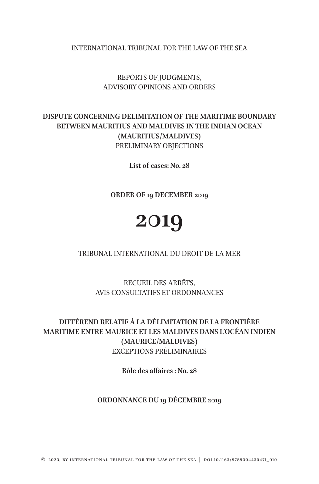INTERNATIONAL TRIBUNAL FOR THE LAW OF THE SEA

REPORTS OF JUDGMENTS, ADVISORY OPINIONS AND ORDERS

## **DISPUTE CONCERNING DELIMITATION OF THE MARITIME BOUNDARY BETWEEN MAURITIUS AND MALDIVES IN THE INDIAN OCEAN (MAURITIUS/MALDIVES)** PRELIMINARY OBJECTIONS

**List of cases: No. 28**

**ORDER OF 19 DECEMBER 2019**

# **2019**

### TRIBUNAL INTERNATIONAL DU DROIT DE LA MER

RECUEIL DES ARRÊTS, AVIS CONSULTATIFS ET ORDONNANCES

# **DIFFÉREND RELATIF À LA DÉLIMITATION DE LA FRONTIÈRE MARITIME ENTRE MAURICE ET LES MALDIVES DANS L'OCÉAN INDIEN (MAURICE/MALDIVES)** EXCEPTIONS PRÉLIMINAIRES

**Rôle des affaires : No. 28**

## **ORDONNANCE DU 19 DÉCEMBRE 2019**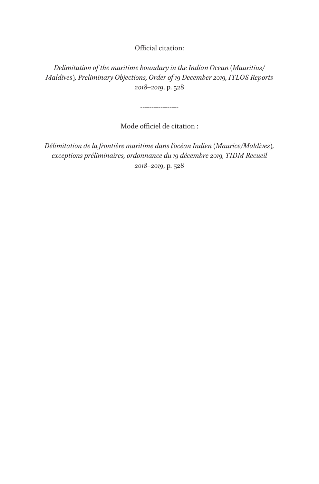Official citation:

*Delimitation of the maritime boundary in the Indian Ocean (Mauritius/ Maldives), Preliminary Objections, Order of 19 December 2019, ITLOS Reports 2018–2019*, p. 528

-----------------

Mode officiel de citation :

*Délimitation de la frontière maritime dans l'océan Indien (Maurice/Maldives), exceptions préliminaires, ordonnance du 19 décembre 2019, TIDM Recueil 2018–2019*, p. 528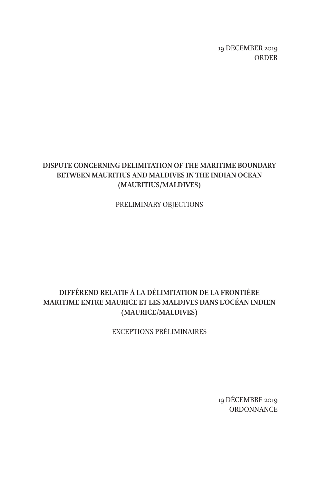19 DECEMBER 2019 ORDER

# **DISPUTE CONCERNING DELIMITATION OF THE MARITIME BOUNDARY BETWEEN MAURITIUS AND MALDIVES IN THE INDIAN OCEAN (MAURITIUS/MALDIVES)**

PRELIMINARY OBJECTIONS

# **DIFFÉREND RELATIF À LA DÉLIMITATION DE LA FRONTIÈRE MARITIME ENTRE MAURICE ET LES MALDIVES DANS L'OCÉAN INDIEN (MAURICE/MALDIVES)**

EXCEPTIONS PRÉLIMINAIRES

19 DÉCEMBRE 2019 **ORDONNANCE**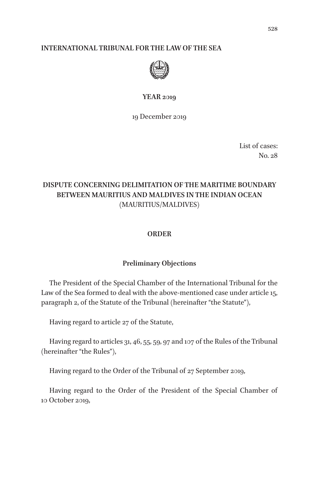#### **INTERNATIONAL TRIBUNAL FOR THE LAW OF THE SEA**



#### **YEAR 2019**

19 December 2019

List of cases: No. 28

# **DISPUTE CONCERNING DELIMITATION OF THE MARITIME BOUNDARY BETWEEN MAURITIUS AND MALDIVES IN THE INDIAN OCEAN** (MAURITIUS/MALDIVES)

#### **ORDER**

#### **Preliminary Objections**

The President of the Special Chamber of the International Tribunal for the Law of the Sea formed to deal with the above-mentioned case under article 15, paragraph 2, of the Statute of the Tribunal (hereinafter "the Statute"),

Having regard to article 27 of the Statute,

Having regard to articles 31, 46, 55, 59, 97 and 107 of the Rules of the Tribunal (hereinafter "the Rules"),

Having regard to the Order of the Tribunal of 27 September 2019,

Having regard to the Order of the President of the Special Chamber of 10 October 2019,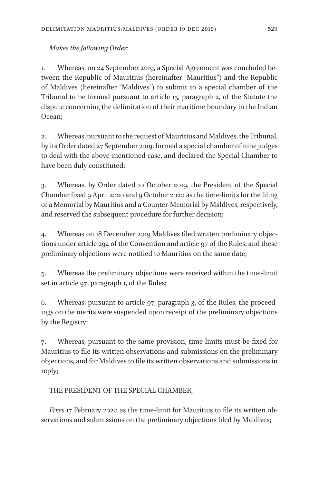## *Makes the following Order*:

1. Whereas, on 24 September 2019, a Special Agreement was concluded between the Republic of Mauritius (hereinafter "Mauritius") and the Republic of Maldives (hereinafter "Maldives") to submit to a special chamber of the Tribunal to be formed pursuant to article 15, paragraph 2, of the Statute the dispute concerning the delimitation of their maritime boundary in the Indian Ocean;

2. Whereas, pursuant to the request of Mauritius and Maldives, the Tribunal, by its Order dated 27 September 2019, formed a special chamber of nine judges to deal with the above-mentioned case, and declared the Special Chamber to have been duly constituted;

3. Whereas, by Order dated 10 October 2019, the President of the Special Chamber fixed 9 April 2020 and 9 October 2020 as the time-limits for the filing of a Memorial by Mauritius and a Counter-Memorial by Maldives, respectively, and reserved the subsequent procedure for further decision;

4. Whereas on 18 December 2019 Maldives filed written preliminary objections under article 294 of the Convention and article 97 of the Rules, and these preliminary objections were notified to Mauritius on the same date;

5. Whereas the preliminary objections were received within the time-limit set in article 97, paragraph 1, of the Rules;

6. Whereas, pursuant to article 97, paragraph 3, of the Rules, the proceedings on the merits were suspended upon receipt of the preliminary objections by the Registry;

7. Whereas, pursuant to the same provision, time-limits must be fixed for Mauritius to file its written observations and submissions on the preliminary objections, and for Maldives to file its written observations and submissions in reply;

THE PRESIDENT OF THE SPECIAL CHAMBER,

*Fixes* 17 February 2020 as the time-limit for Mauritius to file its written observations and submissions on the preliminary objections filed by Maldives;